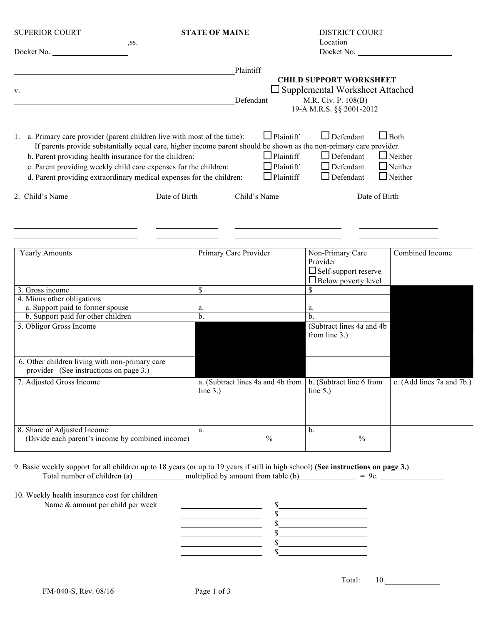|                                                                                                                            |                                                                              | <b>DISTRICT COURT</b>                                                                                                                                                                                                                         |                                                                                                                                                                                                                                                                                                                                                                                                             |
|----------------------------------------------------------------------------------------------------------------------------|------------------------------------------------------------------------------|-----------------------------------------------------------------------------------------------------------------------------------------------------------------------------------------------------------------------------------------------|-------------------------------------------------------------------------------------------------------------------------------------------------------------------------------------------------------------------------------------------------------------------------------------------------------------------------------------------------------------------------------------------------------------|
|                                                                                                                            |                                                                              | Docket No.                                                                                                                                                                                                                                    |                                                                                                                                                                                                                                                                                                                                                                                                             |
|                                                                                                                            |                                                                              |                                                                                                                                                                                                                                               |                                                                                                                                                                                                                                                                                                                                                                                                             |
|                                                                                                                            |                                                                              |                                                                                                                                                                                                                                               |                                                                                                                                                                                                                                                                                                                                                                                                             |
|                                                                                                                            |                                                                              |                                                                                                                                                                                                                                               |                                                                                                                                                                                                                                                                                                                                                                                                             |
|                                                                                                                            |                                                                              |                                                                                                                                                                                                                                               |                                                                                                                                                                                                                                                                                                                                                                                                             |
| b. Parent providing health insurance for the children:<br>c. Parent providing weekly child care expenses for the children: | $\Box$ Plaintiff<br>$\Box$ Plaintiff<br>$\Box$ Plaintiff<br>$\Box$ Plaintiff | $\Box$ Defendant<br>$\Box$ Defendant<br>$\Box$ Defendant<br>$\Box$ Defendant                                                                                                                                                                  | $\Box$ Both<br>$\Box$ Neither<br>$\Box$ Neither<br>$\Box$ Neither                                                                                                                                                                                                                                                                                                                                           |
| Date of Birth                                                                                                              |                                                                              | Date of Birth                                                                                                                                                                                                                                 |                                                                                                                                                                                                                                                                                                                                                                                                             |
|                                                                                                                            |                                                                              |                                                                                                                                                                                                                                               |                                                                                                                                                                                                                                                                                                                                                                                                             |
|                                                                                                                            |                                                                              | Provider<br>$\Box$ Self-support reserve                                                                                                                                                                                                       | Combined Income                                                                                                                                                                                                                                                                                                                                                                                             |
| \$                                                                                                                         |                                                                              | \$                                                                                                                                                                                                                                            |                                                                                                                                                                                                                                                                                                                                                                                                             |
|                                                                                                                            |                                                                              |                                                                                                                                                                                                                                               |                                                                                                                                                                                                                                                                                                                                                                                                             |
| a.                                                                                                                         |                                                                              | a.                                                                                                                                                                                                                                            |                                                                                                                                                                                                                                                                                                                                                                                                             |
|                                                                                                                            |                                                                              |                                                                                                                                                                                                                                               |                                                                                                                                                                                                                                                                                                                                                                                                             |
|                                                                                                                            |                                                                              | from line 3.)                                                                                                                                                                                                                                 |                                                                                                                                                                                                                                                                                                                                                                                                             |
|                                                                                                                            |                                                                              |                                                                                                                                                                                                                                               |                                                                                                                                                                                                                                                                                                                                                                                                             |
|                                                                                                                            |                                                                              |                                                                                                                                                                                                                                               |                                                                                                                                                                                                                                                                                                                                                                                                             |
| line $3.$ )                                                                                                                |                                                                              | line $5.$ )                                                                                                                                                                                                                                   | c. $(Add lines 7a and 7b.)$                                                                                                                                                                                                                                                                                                                                                                                 |
| a.<br>(Divide each parent's income by combined income)                                                                     | $\frac{0}{0}$                                                                | b.<br>$\frac{0}{0}$                                                                                                                                                                                                                           |                                                                                                                                                                                                                                                                                                                                                                                                             |
|                                                                                                                            | $b$ .                                                                        | <b>STATE OF MAINE</b><br>Plaintiff<br>Defendant<br>1. a. Primary care provider (parent children live with most of the time):<br>d. Parent providing extraordinary medical expenses for the children:<br>Child's Name<br>Primary Care Provider | <b>CHILD SUPPORT WORKSHEET</b><br>$\Box$ Supplemental Worksheet Attached<br>M.R. Civ. P. 108(B)<br>19-A M.R.S. §§ 2001-2012<br>If parents provide substantially equal care, higher income parent should be shown as the non-primary care provider.<br>Non-Primary Care<br>$\Box$ Below poverty level<br>$b$ .<br>(Subtract lines 4a and 4b)<br>a. (Subtract lines 4a and 4b from   b. (Subtract line 6 from |

9. Basic weekly support for all children up to 18 years (or up to 19 years if still in high school) **(See instructions on page 3.)** Total number of children (a)\_\_\_\_\_\_\_\_\_\_\_\_ multiplied by amount from table (b)\_\_\_\_\_\_\_\_\_\_\_\_ = 9c. \_\_\_\_\_\_\_\_\_\_\_\_\_

10. Weekly health insurance cost for children

Name & amount per child per week  $\frac{\text{S}_{\text{S}_{\text{S}_{\text{S}_{\text{S}_{\text{S}}}}}}}{\text{S}_{\text{S}_{\text{S}_{\text{S}_{\text{S}}}}}$  $\sim$  \$  $\sim$  \$  $\sim$  \$  $\sim$  \$  $\sim$  \$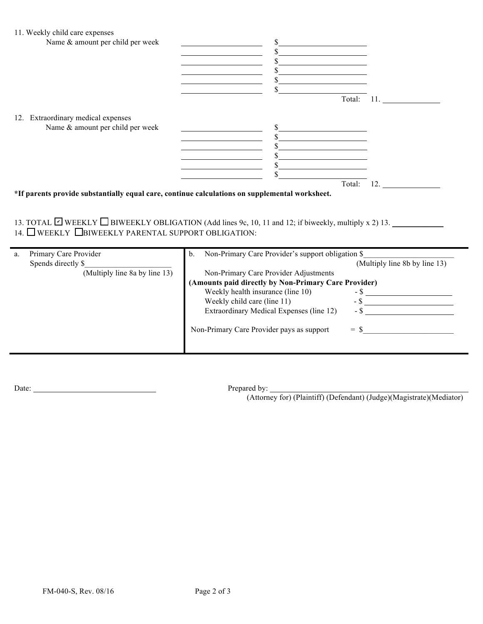#### 11. Weekly child care expenses

| Name & amount per child per week                                                               |            |     |
|------------------------------------------------------------------------------------------------|------------|-----|
|                                                                                                |            |     |
|                                                                                                |            |     |
|                                                                                                |            |     |
|                                                                                                |            |     |
|                                                                                                |            |     |
|                                                                                                | Total: 11. |     |
| 12. Extraordinary medical expenses                                                             |            |     |
| Name & amount per child per week                                                               |            |     |
|                                                                                                |            |     |
|                                                                                                |            |     |
|                                                                                                |            |     |
|                                                                                                |            |     |
|                                                                                                |            |     |
|                                                                                                | Total:     | 12. |
| *If parents provide substantially equal care, continue calculations on supplemental worksheet. |            |     |

13. TOTAL WEEKLY BIWEEKLY OBLIGATION (Add lines 9c, 10, 11 and 12; if biweekly, multiply x 2) 13.  $\Box$ 14. WEEKLY LBIWEEKLY PARENTAL SUPPORT OBLIGATION: ✔

| Primary Care Provider         | Non-Primary Care Provider's support obligation \$<br>b. |                                                      |  |  |
|-------------------------------|---------------------------------------------------------|------------------------------------------------------|--|--|
| Spends directly \$            |                                                         | (Multiply line 8b by line 13)                        |  |  |
| (Multiply line 8a by line 13) | Non-Primary Care Provider Adjustments                   |                                                      |  |  |
|                               |                                                         | (Amounts paid directly by Non-Primary Care Provider) |  |  |
|                               | Weekly health insurance (line 10)                       | - \$                                                 |  |  |
|                               | Weekly child care (line 11)                             | - \$                                                 |  |  |
|                               | Extraordinary Medical Expenses (line 12)                | - \$                                                 |  |  |
|                               | Non-Primary Care Provider pays as support               | $=$ S                                                |  |  |

Date: <u>Prepared by:</u>

(Attorney for) (Plaintiff) (Defendant) (Judge)(Magistrate)(Mediator)